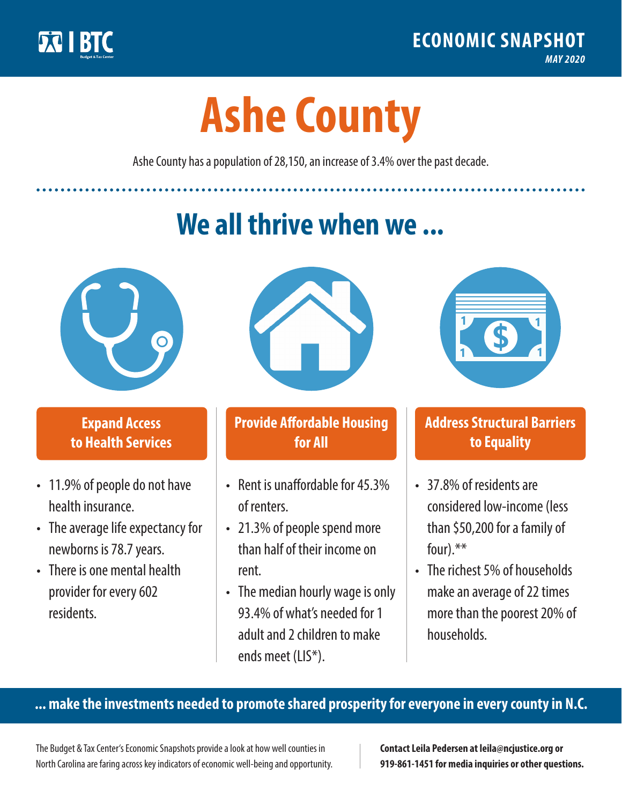

**1**

# **Ashe County**

Ashe County has a population of 28,150, an increase of 3.4% over the past decade.

# **We all thrive when we ...**



**\$ <sup>1</sup>**

**\$ <sup>1</sup>**

## **Expand Access to Health Services**

- 11.9% of people do not have health insurance.
- The average life expectancy for newborns is 78.7 years.
- There is one mental health provider for every 602 residents.



## **Provide Affordable Housing for All**

- Rent is unaffordable for 45,3% of renters.
- 21.3% of people spend more than half of their income on rent.
- The median hourly wage is only 93.4% of what's needed for 1 adult and 2 children to make ends meet (LIS\*).



## **Address Structural Barriers to Equality**

- 37.8% of residents are considered low-income (less than \$50,200 for a family of four).\*\*
- The richest 5% of households make an average of 22 times more than the poorest 20% of households.

#### **... make the investments needed to promote shared prosperity for everyone in every county in N.C.**

The Budget & Tax Center's Economic Snapshots provide a look at how well counties in North Carolina are faring across key indicators of economic well-being and opportunity.